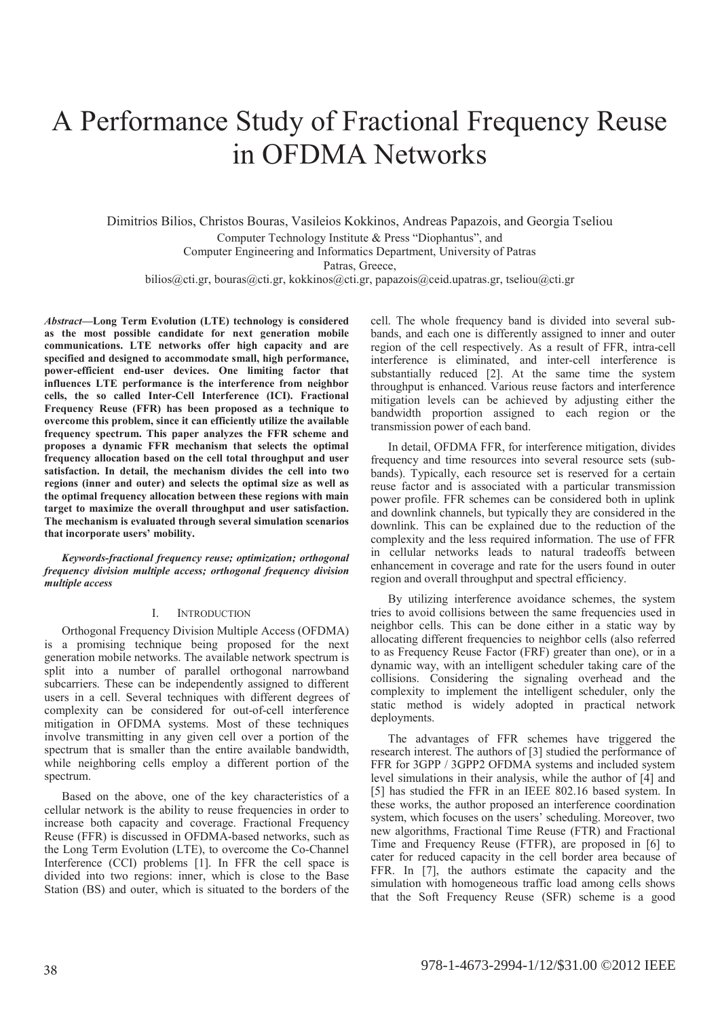# A Performance Study of Fractional Frequency Reuse in OFDMA Networks

Dimitrios Bilios, Christos Bouras, Vasileios Kokkinos, Andreas Papazois, and Georgia Tseliou Computer Technology Institute & Press "Diophantus", and Computer Engineering and Informatics Department, University of Patras Patras, Greece, bilios@cti.gr, bouras@cti.gr, kokkinos@cti.gr, papazois@ceid.upatras.gr, tseliou@cti.gr

*Abstract***—Long Term Evolution (LTE) technology is considered as the most possible candidate for next generation mobile communications. LTE networks offer high capacity and are specified and designed to accommodate small, high performance, power-efficient end-user devices. One limiting factor that influences LTE performance is the interference from neighbor cells, the so called Inter-Cell Interference (ICI). Fractional Frequency Reuse (FFR) has been proposed as a technique to overcome this problem, since it can efficiently utilize the available frequency spectrum. This paper analyzes the FFR scheme and proposes a dynamic FFR mechanism that selects the optimal frequency allocation based on the cell total throughput and user satisfaction. In detail, the mechanism divides the cell into two regions (inner and outer) and selects the optimal size as well as the optimal frequency allocation between these regions with main target to maximize the overall throughput and user satisfaction. The mechanism is evaluated through several simulation scenarios that incorporate users' mobility.** 

*Keywords-fractional frequency reuse; optimization; orthogonal frequency division multiple access; orthogonal frequency division multiple access* 

## I. INTRODUCTION

Orthogonal Frequency Division Multiple Access (OFDMA) is a promising technique being proposed for the next generation mobile networks. The available network spectrum is split into a number of parallel orthogonal narrowband subcarriers. These can be independently assigned to different users in a cell. Several techniques with different degrees of complexity can be considered for out-of-cell interference mitigation in OFDMA systems. Most of these techniques involve transmitting in any given cell over a portion of the spectrum that is smaller than the entire available bandwidth, while neighboring cells employ a different portion of the spectrum.

Based on the above, one of the key characteristics of a cellular network is the ability to reuse frequencies in order to increase both capacity and coverage. Fractional Frequency Reuse (FFR) is discussed in OFDMA-based networks, such as the Long Term Evolution (LTE), to overcome the Co-Channel Interference (CCI) problems [1]. In FFR the cell space is divided into two regions: inner, which is close to the Base Station (BS) and outer, which is situated to the borders of the

cell. The whole frequency band is divided into several subbands, and each one is differently assigned to inner and outer region of the cell respectively. As a result of FFR, intra-cell interference is eliminated, and inter-cell interference is substantially reduced [2]. At the same time the system throughput is enhanced. Various reuse factors and interference mitigation levels can be achieved by adjusting either the bandwidth proportion assigned to each region or the transmission power of each band.

In detail, OFDMA FFR, for interference mitigation, divides frequency and time resources into several resource sets (subbands). Typically, each resource set is reserved for a certain reuse factor and is associated with a particular transmission power profile. FFR schemes can be considered both in uplink and downlink channels, but typically they are considered in the downlink. This can be explained due to the reduction of the complexity and the less required information. The use of FFR in cellular networks leads to natural tradeoffs between enhancement in coverage and rate for the users found in outer region and overall throughput and spectral efficiency.

By utilizing interference avoidance schemes, the system tries to avoid collisions between the same frequencies used in neighbor cells. This can be done either in a static way by allocating different frequencies to neighbor cells (also referred to as Frequency Reuse Factor (FRF) greater than one), or in a dynamic way, with an intelligent scheduler taking care of the collisions. Considering the signaling overhead and the complexity to implement the intelligent scheduler, only the static method is widely adopted in practical network deployments.

The advantages of FFR schemes have triggered the research interest. The authors of [3] studied the performance of FFR for 3GPP / 3GPP2 OFDMA systems and included system level simulations in their analysis, while the author of [4] and [5] has studied the FFR in an IEEE 802.16 based system. In these works, the author proposed an interference coordination system, which focuses on the users' scheduling. Moreover, two new algorithms, Fractional Time Reuse (FTR) and Fractional Time and Frequency Reuse (FTFR), are proposed in [6] to cater for reduced capacity in the cell border area because of FFR. In [7], the authors estimate the capacity and the simulation with homogeneous traffic load among cells shows that the Soft Frequency Reuse (SFR) scheme is a good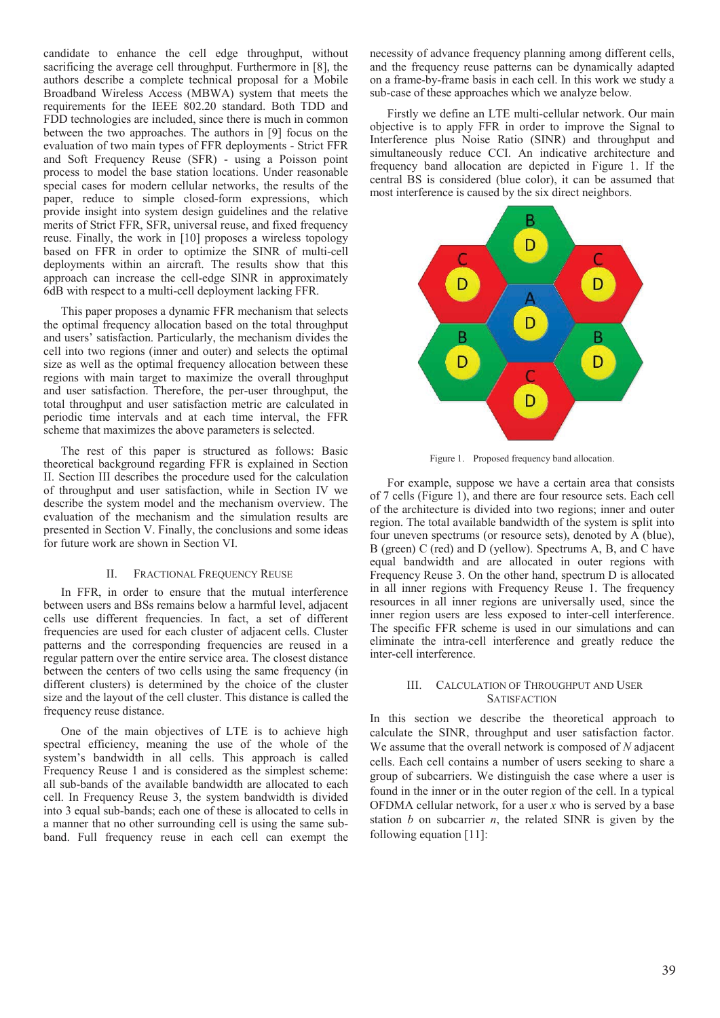candidate to enhance the cell edge throughput, without sacrificing the average cell throughput. Furthermore in [8], the authors describe a complete technical proposal for a Mobile Broadband Wireless Access (MBWA) system that meets the requirements for the IEEE 802.20 standard. Both TDD and FDD technologies are included, since there is much in common between the two approaches. The authors in [9] focus on the evaluation of two main types of FFR deployments - Strict FFR and Soft Frequency Reuse (SFR) - using a Poisson point process to model the base station locations. Under reasonable special cases for modern cellular networks, the results of the paper, reduce to simple closed-form expressions, which provide insight into system design guidelines and the relative merits of Strict FFR, SFR, universal reuse, and fixed frequency reuse. Finally, the work in [10] proposes a wireless topology based on FFR in order to optimize the SINR of multi-cell deployments within an aircraft. The results show that this approach can increase the cell-edge SINR in approximately 6dB with respect to a multi-cell deployment lacking FFR.

This paper proposes a dynamic FFR mechanism that selects the optimal frequency allocation based on the total throughput and users' satisfaction. Particularly, the mechanism divides the cell into two regions (inner and outer) and selects the optimal size as well as the optimal frequency allocation between these regions with main target to maximize the overall throughput and user satisfaction. Therefore, the per-user throughput, the total throughput and user satisfaction metric are calculated in periodic time intervals and at each time interval, the FFR scheme that maximizes the above parameters is selected.

The rest of this paper is structured as follows: Basic theoretical background regarding FFR is explained in Section II. Section III describes the procedure used for the calculation of throughput and user satisfaction, while in Section IV we describe the system model and the mechanism overview. The evaluation of the mechanism and the simulation results are presented in Section V. Finally, the conclusions and some ideas for future work are shown in Section VI.

#### II. FRACTIONAL FREQUENCY REUSE

In FFR, in order to ensure that the mutual interference between users and BSs remains below a harmful level, adjacent cells use different frequencies. In fact, a set of different frequencies are used for each cluster of adjacent cells. Cluster patterns and the corresponding frequencies are reused in a regular pattern over the entire service area. The closest distance between the centers of two cells using the same frequency (in different clusters) is determined by the choice of the cluster size and the layout of the cell cluster. This distance is called the frequency reuse distance.

One of the main objectives of LTE is to achieve high spectral efficiency, meaning the use of the whole of the system's bandwidth in all cells. This approach is called Frequency Reuse 1 and is considered as the simplest scheme: all sub-bands of the available bandwidth are allocated to each cell. In Frequency Reuse 3, the system bandwidth is divided into 3 equal sub-bands; each one of these is allocated to cells in a manner that no other surrounding cell is using the same subband. Full frequency reuse in each cell can exempt the necessity of advance frequency planning among different cells, and the frequency reuse patterns can be dynamically adapted on a frame-by-frame basis in each cell. In this work we study a sub-case of these approaches which we analyze below.

Firstly we define an LTE multi-cellular network. Our main objective is to apply FFR in order to improve the Signal to Interference plus Noise Ratio (SINR) and throughput and simultaneously reduce CCI. An indicative architecture and frequency band allocation are depicted in Figure 1. If the central BS is considered (blue color), it can be assumed that most interference is caused by the six direct neighbors.



Figure 1. Proposed frequency band allocation.

For example, suppose we have a certain area that consists of 7 cells (Figure 1), and there are four resource sets. Each cell of the architecture is divided into two regions; inner and outer region. The total available bandwidth of the system is split into four uneven spectrums (or resource sets), denoted by A (blue), B (green) C (red) and D (yellow). Spectrums A, B, and C have equal bandwidth and are allocated in outer regions with Frequency Reuse 3. On the other hand, spectrum D is allocated in all inner regions with Frequency Reuse 1. The frequency resources in all inner regions are universally used, since the inner region users are less exposed to inter-cell interference. The specific FFR scheme is used in our simulations and can eliminate the intra-cell interference and greatly reduce the inter-cell interference.

## III. CALCULATION OF THROUGHPUT AND USER **SATISFACTION**

In this section we describe the theoretical approach to calculate the SINR, throughput and user satisfaction factor. We assume that the overall network is composed of *N* adjacent cells. Each cell contains a number of users seeking to share a group of subcarriers. We distinguish the case where a user is found in the inner or in the outer region of the cell. In a typical OFDMA cellular network, for a user *x* who is served by a base station  $b$  on subcarrier  $n$ , the related SINR is given by the following equation [11]: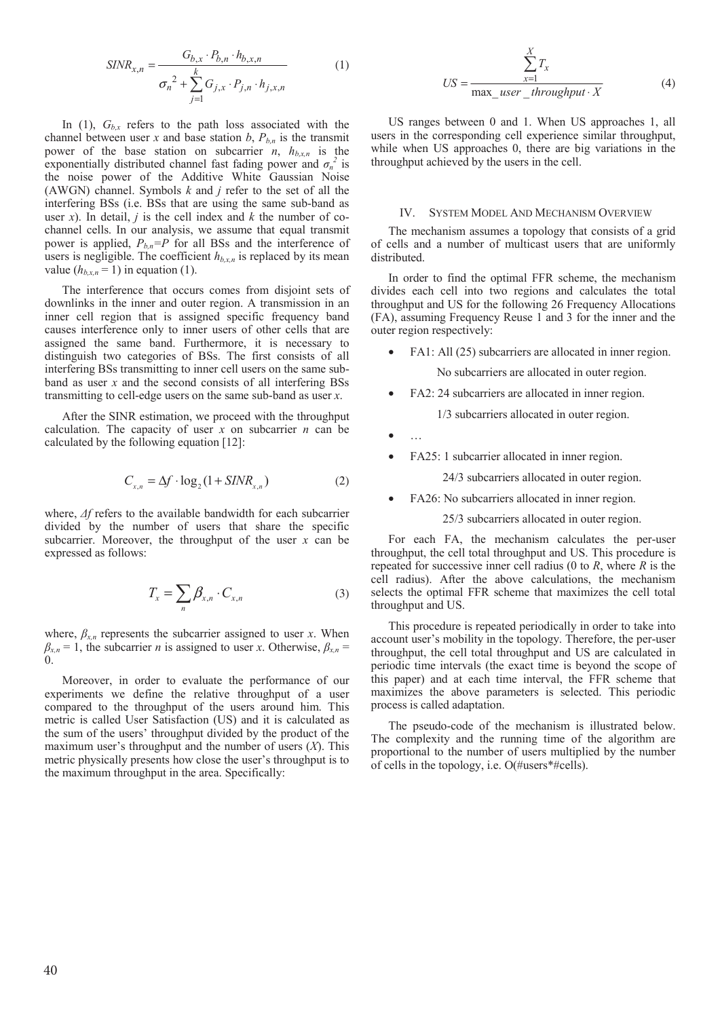$$
SINR_{x,n} = \frac{G_{b,x} \cdot P_{b,n} \cdot h_{b,x,n}}{\sigma_n^2 + \sum_{j=1}^k G_{j,x} \cdot P_{j,n} \cdot h_{j,x,n}}
$$
(1)

In (1),  $G_{b,x}$  refers to the path loss associated with the channel between user *x* and base station *b*,  $P_{b,n}$  is the transmit power of the base station on subcarrier  $n$ ,  $h_{b,x,n}$  is the exponentially distributed channel fast fading power and  $\sigma_n^2$  is the noise power of the Additive White Gaussian Noise (AWGN) channel. Symbols *k* and *j* refer to the set of all the interfering BSs (i.e. BSs that are using the same sub-band as user *x*). In detail, *j* is the cell index and *k* the number of cochannel cells. In our analysis, we assume that equal transmit power is applied,  $P_{b,n}=P$  for all BSs and the interference of users is negligible. The coefficient  $h_{b,x,n}$  is replaced by its mean value  $(h_{b,x,n} = 1)$  in equation (1).

The interference that occurs comes from disjoint sets of downlinks in the inner and outer region. A transmission in an inner cell region that is assigned specific frequency band causes interference only to inner users of other cells that are assigned the same band. Furthermore, it is necessary to distinguish two categories of BSs. The first consists of all interfering BSs transmitting to inner cell users on the same subband as user *x* and the second consists of all interfering BSs transmitting to cell-edge users on the same sub-band as user *x*.

After the SINR estimation, we proceed with the throughput calculation. The capacity of user *x* on subcarrier *n* can be calculated by the following equation [12]:

$$
C_{x,n} = \Delta f \cdot \log_2(1 + SIMR_{x,n})
$$
 (2)

where, ∆*f* refers to the available bandwidth for each subcarrier divided by the number of users that share the specific subcarrier. Moreover, the throughput of the user  $x$  can be expressed as follows:

$$
T_x = \sum_n \beta_{x,n} \cdot C_{x,n} \tag{3}
$$

where,  $\beta_{x,n}$  represents the subcarrier assigned to user *x*. When  $\beta_{x,n} = 1$ , the subcarrier *n* is assigned to user *x*. Otherwise,  $\beta_{x,n} =$  $\Omega$ 

Moreover, in order to evaluate the performance of our experiments we define the relative throughput of a user compared to the throughput of the users around him. This metric is called User Satisfaction (US) and it is calculated as the sum of the users' throughput divided by the product of the maximum user's throughput and the number of users (*X*). This metric physically presents how close the user's throughput is to the maximum throughput in the area. Specifically:

$$
US = \frac{\sum_{x=1}^{X} T_x}{\max\_user\_throughput \cdot X}
$$
 (4)

US ranges between 0 and 1. When US approaches 1, all users in the corresponding cell experience similar throughput, while when US approaches 0, there are big variations in the throughput achieved by the users in the cell.

#### IV. SYSTEM MODEL AND MECHANISM OVERVIEW

The mechanism assumes a topology that consists of a grid of cells and a number of multicast users that are uniformly distributed.

In order to find the optimal FFR scheme, the mechanism divides each cell into two regions and calculates the total throughput and US for the following 26 Frequency Allocations (FA), assuming Frequency Reuse 1 and 3 for the inner and the outer region respectively:

• FA1: All (25) subcarriers are allocated in inner region.

No subcarriers are allocated in outer region.

• FA2: 24 subcarriers are allocated in inner region.

1/3 subcarriers allocated in outer region.

- …
- FA25: 1 subcarrier allocated in inner region.

24/3 subcarriers allocated in outer region.

• FA26: No subcarriers allocated in inner region.

25/3 subcarriers allocated in outer region.

For each FA, the mechanism calculates the per-user throughput, the cell total throughput and US. This procedure is repeated for successive inner cell radius (0 to *R*, where *R* is the cell radius). After the above calculations, the mechanism selects the optimal FFR scheme that maximizes the cell total throughput and US.

This procedure is repeated periodically in order to take into account user's mobility in the topology. Therefore, the per-user throughput, the cell total throughput and US are calculated in periodic time intervals (the exact time is beyond the scope of this paper) and at each time interval, the FFR scheme that maximizes the above parameters is selected. This periodic process is called adaptation.

The pseudo-code of the mechanism is illustrated below. The complexity and the running time of the algorithm are proportional to the number of users multiplied by the number of cells in the topology, i.e. O(#users\*#cells).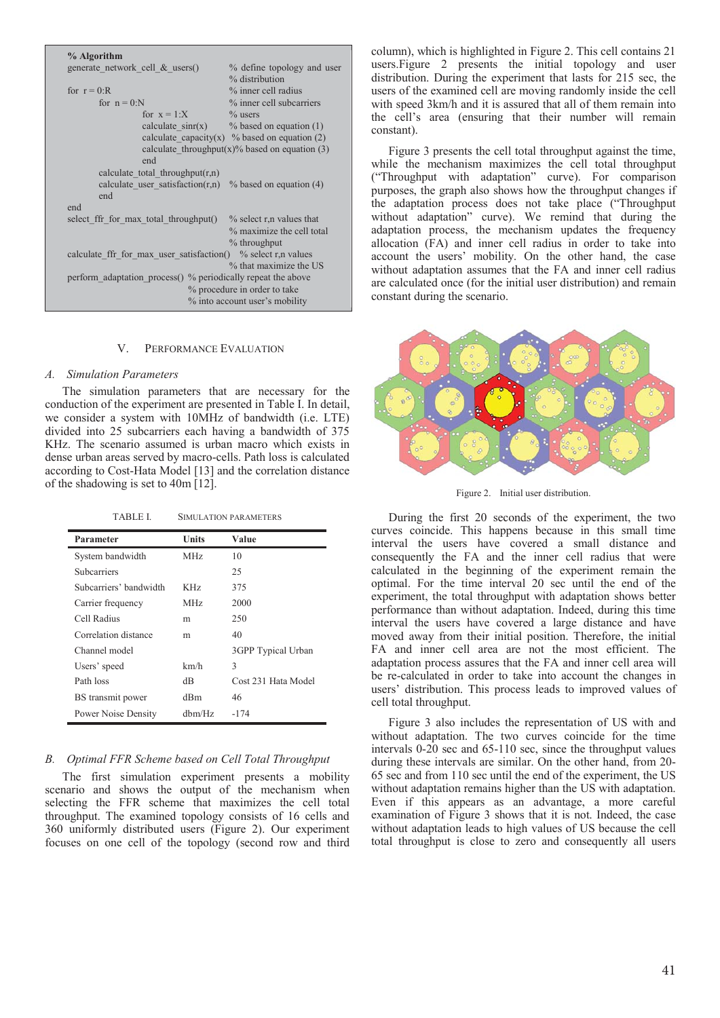| % Algorithm                                                      |                                                              |                                                             |  |
|------------------------------------------------------------------|--------------------------------------------------------------|-------------------------------------------------------------|--|
| generate network cell $\&$ users()                               |                                                              | % define topology and user                                  |  |
|                                                                  |                                                              | % distribution                                              |  |
| for $r = 0 \cdot R$                                              |                                                              | % inner cell radius                                         |  |
|                                                                  |                                                              |                                                             |  |
| for $n = 0 \cdot N$                                              |                                                              | % inner cell subcarriers                                    |  |
|                                                                  | for $x = 1:X$                                                | $\%$ users                                                  |  |
|                                                                  |                                                              | calculate $sin(x)$ % based on equation (1)                  |  |
|                                                                  |                                                              | calculate capacity(x) $\%$ based on equation (2)            |  |
|                                                                  |                                                              | calculate throughput(x)% based on equation (3)              |  |
|                                                                  | end                                                          |                                                             |  |
|                                                                  | calculate total throughput $(r,n)$                           |                                                             |  |
|                                                                  |                                                              | calculate user satisfaction $(r,n)$ % based on equation (4) |  |
| end                                                              |                                                              |                                                             |  |
| end                                                              |                                                              |                                                             |  |
|                                                                  |                                                              |                                                             |  |
| select ffr for max total throughput()                            |                                                              | $\%$ select r, n values that                                |  |
|                                                                  |                                                              | % maximize the cell total                                   |  |
|                                                                  |                                                              | % throughput                                                |  |
| calculate ffr for max user satisfaction() $\%$ select r,n values |                                                              |                                                             |  |
|                                                                  |                                                              | % that maximize the US                                      |  |
|                                                                  | perform adaptation process() % periodically repeat the above |                                                             |  |
|                                                                  |                                                              | % procedure in order to take                                |  |
|                                                                  |                                                              | % into account user's mobility                              |  |
|                                                                  |                                                              |                                                             |  |

## V. PERFORMANCE EVALUATION

#### *A. Simulation Parameters*

The simulation parameters that are necessary for the conduction of the experiment are presented in Table I. In detail, we consider a system with 10MHz of bandwidth (i.e. LTE) divided into 25 subcarriers each having a bandwidth of 375 KHz. The scenario assumed is urban macro which exists in dense urban areas served by macro-cells. Path loss is calculated according to Cost-Hata Model [13] and the correlation distance of the shadowing is set to 40m [12].

| TABLE I.<br><b>SIMULATION PARAMETERS</b> |
|------------------------------------------|
|------------------------------------------|

| Parameter              | Units                    | Value               |
|------------------------|--------------------------|---------------------|
| System bandwidth       | MHz.                     | 10                  |
| <b>Subcarriers</b>     |                          | 25                  |
| Subcarriers' bandwidth | KH <sub>z</sub>          | 375                 |
| Carrier frequency      | MHz.                     | 2000                |
| Cell Radius            | m                        | 250                 |
| Correlation distance   | m                        | 40                  |
| Channel model          |                          | 3GPP Typical Urban  |
| Users' speed           | km/h                     | 3                   |
| Path loss              | dВ                       | Cost 231 Hata Model |
| BS transmit power      | dBm                      | 46                  |
| Power Noise Density    | $d$ <sub>hm</sub> / $Hz$ | -174                |

## *B. Optimal FFR Scheme based on Cell Total Throughput*

The first simulation experiment presents a mobility scenario and shows the output of the mechanism when selecting the FFR scheme that maximizes the cell total throughput. The examined topology consists of 16 cells and 360 uniformly distributed users (Figure 2). Our experiment focuses on one cell of the topology (second row and third

column), which is highlighted in Figure 2. This cell contains 21 users.Figure 2 presents the initial topology and user distribution. During the experiment that lasts for 215 sec, the users of the examined cell are moving randomly inside the cell with speed 3km/h and it is assured that all of them remain into the cell's area (ensuring that their number will remain constant).

Figure 3 presents the cell total throughput against the time, while the mechanism maximizes the cell total throughput ("Throughput with adaptation" curve). For comparison purposes, the graph also shows how the throughput changes if the adaptation process does not take place ("Throughput without adaptation" curve). We remind that during the adaptation process, the mechanism updates the frequency allocation (FA) and inner cell radius in order to take into account the users' mobility. On the other hand, the case without adaptation assumes that the FA and inner cell radius are calculated once (for the initial user distribution) and remain constant during the scenario.



Figure 2. Initial user distribution.

During the first 20 seconds of the experiment, the two curves coincide. This happens because in this small time interval the users have covered a small distance and consequently the FA and the inner cell radius that were calculated in the beginning of the experiment remain the optimal. For the time interval 20 sec until the end of the experiment, the total throughput with adaptation shows better performance than without adaptation. Indeed, during this time interval the users have covered a large distance and have moved away from their initial position. Therefore, the initial FA and inner cell area are not the most efficient. The adaptation process assures that the FA and inner cell area will be re-calculated in order to take into account the changes in users' distribution. This process leads to improved values of cell total throughput.

Figure 3 also includes the representation of US with and without adaptation. The two curves coincide for the time intervals 0-20 sec and 65-110 sec, since the throughput values during these intervals are similar. On the other hand, from 20- 65 sec and from 110 sec until the end of the experiment, the US without adaptation remains higher than the US with adaptation. Even if this appears as an advantage, a more careful examination of Figure 3 shows that it is not. Indeed, the case without adaptation leads to high values of US because the cell total throughput is close to zero and consequently all users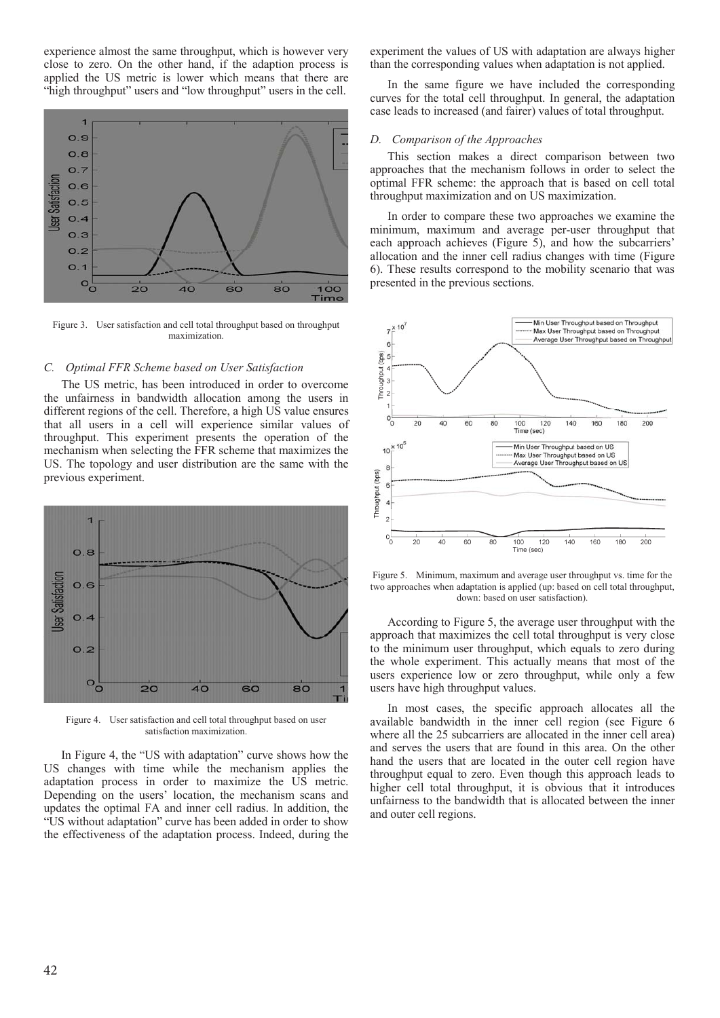experience almost the same throughput, which is however very close to zero. On the other hand, if the adaption process is applied the US metric is lower which means that there are "high throughput" users and "low throughput" users in the cell.



Figure 3. User satisfaction and cell total throughput based on throughput maximization.

## *C. Optimal FFR Scheme based on User Satisfaction*

The US metric, has been introduced in order to overcome the unfairness in bandwidth allocation among the users in different regions of the cell. Therefore, a high US value ensures that all users in a cell will experience similar values of throughput. This experiment presents the operation of the mechanism when selecting the FFR scheme that maximizes the US. The topology and user distribution are the same with the previous experiment.



Figure 4. User satisfaction and cell total throughput based on user satisfaction maximization.

In Figure 4, the "US with adaptation" curve shows how the US changes with time while the mechanism applies the adaptation process in order to maximize the US metric. Depending on the users' location, the mechanism scans and updates the optimal FA and inner cell radius. In addition, the "US without adaptation" curve has been added in order to show the effectiveness of the adaptation process. Indeed, during the experiment the values of US with adaptation are always higher than the corresponding values when adaptation is not applied.

In the same figure we have included the corresponding curves for the total cell throughput. In general, the adaptation case leads to increased (and fairer) values of total throughput.

# *D. Comparison of the Approaches*

This section makes a direct comparison between two approaches that the mechanism follows in order to select the optimal FFR scheme: the approach that is based on cell total throughput maximization and on US maximization.

In order to compare these two approaches we examine the minimum, maximum and average per-user throughput that each approach achieves (Figure 5), and how the subcarriers' allocation and the inner cell radius changes with time (Figure 6). These results correspond to the mobility scenario that was presented in the previous sections.



Figure 5. Minimum, maximum and average user throughput vs. time for the two approaches when adaptation is applied (up: based on cell total throughput, down: based on user satisfaction).

According to Figure 5, the average user throughput with the approach that maximizes the cell total throughput is very close to the minimum user throughput, which equals to zero during the whole experiment. This actually means that most of the users experience low or zero throughput, while only a few users have high throughput values.

In most cases, the specific approach allocates all the available bandwidth in the inner cell region (see Figure 6 where all the 25 subcarriers are allocated in the inner cell area) and serves the users that are found in this area. On the other hand the users that are located in the outer cell region have throughput equal to zero. Even though this approach leads to higher cell total throughput, it is obvious that it introduces unfairness to the bandwidth that is allocated between the inner and outer cell regions.